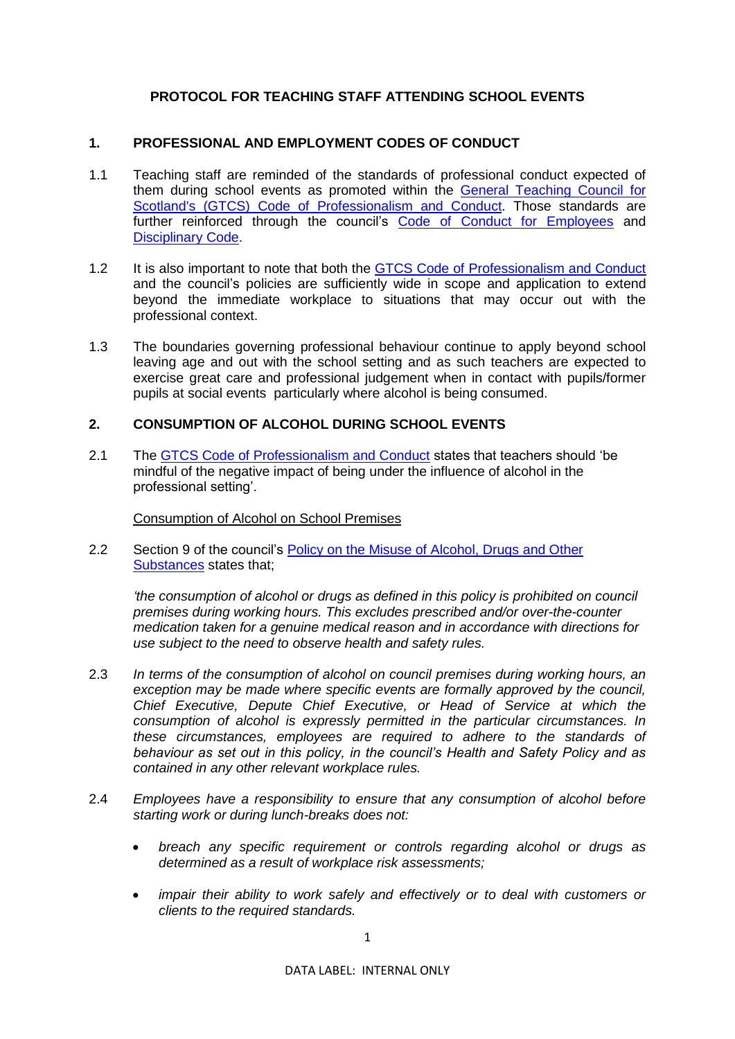# **PROTOCOL FOR TEACHING STAFF ATTENDING SCHOOL EVENTS**

## **1. PROFESSIONAL AND EMPLOYMENT CODES OF CONDUCT**

- 1.1 Teaching staff are reminded of the standards of professional conduct expected of them during school events as promoted within the [General Teaching Council for](https://www.gtcs.org.uk/regulation/complaints/copac.aspx)  [Scotland's \(GTCS\) Code of Professionalism and Conduct.](https://www.gtcs.org.uk/regulation/complaints/copac.aspx) Those standards are further reinforced through the council's [Code of Conduct for Employees](https://www.westlothian.gov.uk/article/33213/Code-of-Conduct) and [Disciplinary Code.](https://www.westlothian.gov.uk/article/33214/Discipline)
- 1.2 It is also important to note that both the GTCS [Code of Professionalism and Conduct](https://www.gtcs.org.uk/regulation/complaints/copac.aspx) and the council's policies are sufficiently wide in scope and application to extend beyond the immediate workplace to situations that may occur out with the professional context.
- 1.3 The boundaries governing professional behaviour continue to apply beyond school leaving age and out with the school setting and as such teachers are expected to exercise great care and professional judgement when in contact with pupils/former pupils at social events particularly where alcohol is being consumed.

### **2. CONSUMPTION OF ALCOHOL DURING SCHOOL EVENTS**

2.1 The GTCS [Code of Professionalism and Conduct](https://www.gtcs.org.uk/regulation/complaints/copac.aspx) states that teachers should 'be mindful of the negative impact of being under the influence of alcohol in the professional setting'.

Consumption of Alcohol on School Premises

2.2 Section 9 of the council's Policy [on the Misuse of Alcohol, Drugs and Other](https://www.westlothian.gov.uk/article/33240/Alcohol-and-Drug-Misuse)  [Substances](https://www.westlothian.gov.uk/article/33240/Alcohol-and-Drug-Misuse) states that;

*'the consumption of alcohol or drugs as defined in this policy is prohibited on council premises during working hours. This excludes prescribed and/or over-the-counter medication taken for a genuine medical reason and in accordance with directions for use subject to the need to observe health and safety rules.*

- 2.3 *In terms of the consumption of alcohol on council premises during working hours, an exception may be made where specific events are formally approved by the council, Chief Executive, Depute Chief Executive, or Head of Service at which the consumption of alcohol is expressly permitted in the particular circumstances. In these circumstances, employees are required to adhere to the standards of behaviour as set out in this policy, in the council's Health and Safety Policy and as contained in any other relevant workplace rules.*
- 2.4 *Employees have a responsibility to ensure that any consumption of alcohol before starting work or during lunch-breaks does not:*
	- *breach any specific requirement or controls regarding alcohol or drugs as determined as a result of workplace risk assessments;*
	- *impair their ability to work safely and effectively or to deal with customers or clients to the required standards.*